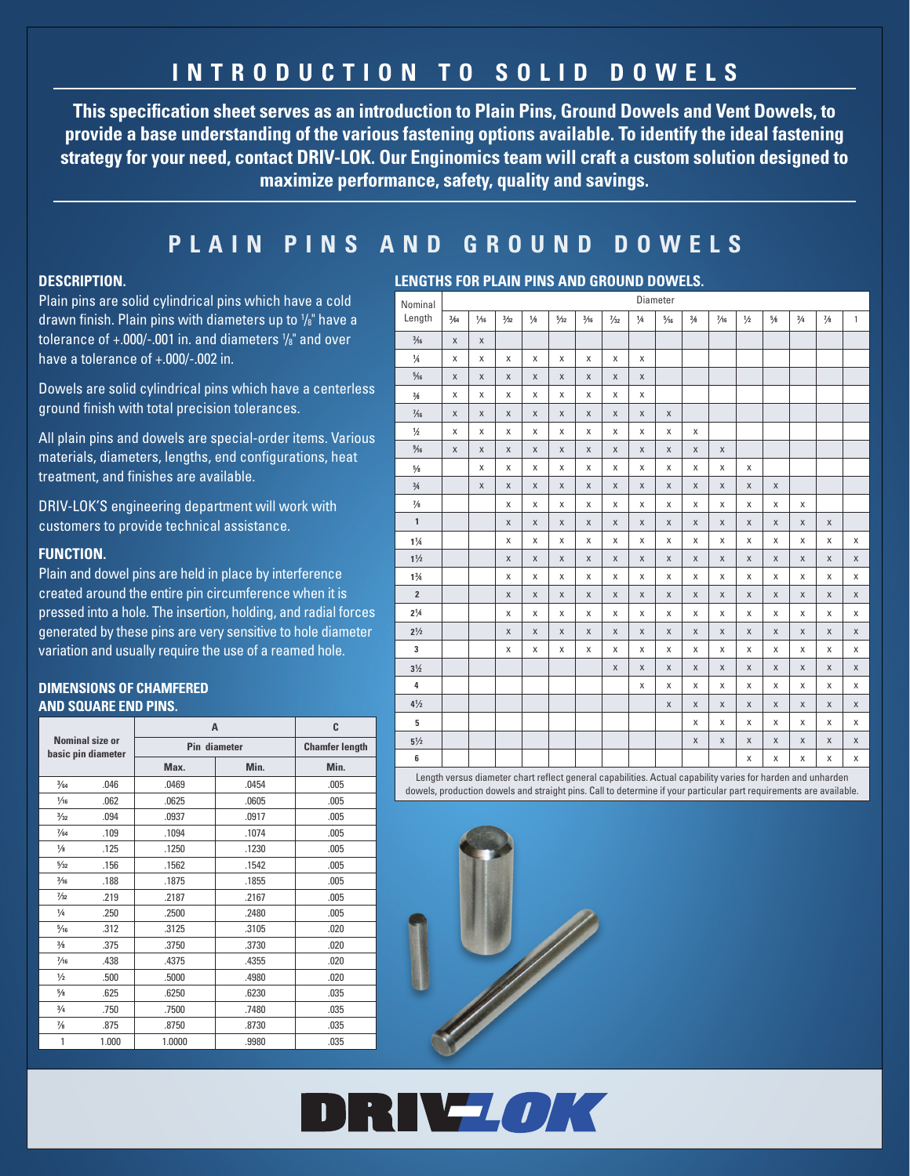# **INTRODUCTION TO SOLID DOWELS**

**This specification sheet serves as an introduction to Plain Pins, Ground Dowels and Vent Dowels, to provide a base understanding of the various fastening options available. To identify the ideal fastening strategy for your need, contact DRIV-LOK. Our Enginomics team will craft a custom solution designed to maximize performance, safety, quality and savings.**

## **PLAIN PINS AND GROUND DOWELS**

## **DESCRIPTION.**

Plain pins are solid cylindrical pins which have a cold drawn finish. Plain pins with diameters up to  $\frac{1}{8}$ " have a tolerance of +.000/-.001 in. and diameters 1 /8" and over have a tolerance of +.000/-.002 in.

Dowels are solid cylindrical pins which have a centerless ground finish with total precision tolerances.

All plain pins and dowels are special-order items. Various materials, diameters, lengths, end configurations, heat treatment, and finishes are available.

DRIV-LOK'S engineering department will work with customers to provide technical assistance.

## **FUNCTION.**

Plain and dowel pins are held in place by interference created around the entire pin circumference when it is pressed into a hole. The insertion, holding, and radial forces generated by these pins are very sensitive to hole diameter variation and usually require the use of a reamed hole.

## **DIMENSIONS OF CHAMFERED AND SQUARE END PINS.**

|                |                                       | A            | C                     |      |  |
|----------------|---------------------------------------|--------------|-----------------------|------|--|
|                | Nominal size or<br>basic pin diameter | Pin diameter | <b>Chamfer length</b> |      |  |
|                |                                       | Max.         | Min.                  | Min. |  |
| 3/64           | .046                                  | .0469        | .0454                 | .005 |  |
| $\frac{1}{16}$ | .062                                  | .0625        | .0605                 | .005 |  |
| 3/32           | .094                                  | .0937        | .0917                 | .005 |  |
| $\frac{7}{64}$ | .109                                  | .1094        | .1074                 | .005 |  |
| $\frac{1}{8}$  | .125                                  | .1250        | .1230                 | .005 |  |
| $\frac{5}{32}$ | .156                                  | .1562        | .1542                 | .005 |  |
| $\frac{3}{16}$ | .188                                  | .1875        | .1855                 | .005 |  |
| $\frac{7}{32}$ | .219                                  | .2187        | .2167                 | .005 |  |
| $\frac{1}{4}$  | .250                                  | .2500        | .2480                 | .005 |  |
| $\frac{5}{16}$ | .312                                  | .3125        | .3105                 | .020 |  |
| $\frac{3}{8}$  | .375                                  | .3750        | .3730                 | .020 |  |
| $\frac{7}{16}$ | .438                                  | .4375        | .4355                 | .020 |  |
| $\frac{1}{2}$  | .500                                  | .5000        | .4980                 | .020 |  |
| $\frac{5}{8}$  | .625                                  | .6250        | .6230                 | .035 |  |
| 3/4            | .750                                  | .7500        | .7480                 | .035 |  |
| $\frac{7}{8}$  | .875                                  | .8750        | .8730                 | .035 |  |
| 1              | 1.000                                 | 1.0000       | .9980                 | .035 |  |

## **LENGTHS FOR PLAIN PINS AND GROUND DOWELS.**

| Nominal                                                                                                 | Diameter     |             |             |             |             |             |                |             |                |              |                |             |             |             |               |              |
|---------------------------------------------------------------------------------------------------------|--------------|-------------|-------------|-------------|-------------|-------------|----------------|-------------|----------------|--------------|----------------|-------------|-------------|-------------|---------------|--------------|
| Length                                                                                                  | 3/64         | 1/16        | 3/32        | 1/8         | 5/32        | 3/16        | $\frac{7}{32}$ | 1/4         | $\frac{5}{16}$ | 3/8          | $\frac{7}{16}$ | 1/2         | 5/8         | 3/4         | $\frac{7}{8}$ | $\mathbf{1}$ |
| $\frac{3}{16}$                                                                                          | $\mathsf{X}$ | $\mathsf X$ |             |             |             |             |                |             |                |              |                |             |             |             |               |              |
| $\frac{1}{4}$                                                                                           | X            | X           | X           | X           | $\mathsf X$ | X           | $\mathsf X$    | X           |                |              |                |             |             |             |               |              |
| $\frac{5}{16}$                                                                                          | $\mathsf X$  | $\mathsf X$ | $\mathsf X$ | $\mathsf X$ | $\mathsf X$ | $\mathsf X$ | $\mathsf X$    | $\mathsf X$ |                |              |                |             |             |             |               |              |
| $\frac{3}{8}$                                                                                           | X            | X           | X           | X           | X           | X           | X              | X           |                |              |                |             |             |             |               |              |
| $\frac{7}{16}$                                                                                          | $\mathsf X$  | $\mathsf X$ | $\mathsf X$ | $\mathsf X$ | $\mathsf X$ | $\mathsf X$ | $\mathsf X$    | $\mathsf X$ | $\mathsf X$    |              |                |             |             |             |               |              |
| $1/2$                                                                                                   | $\mathsf{X}$ | X           | X           | X           | $\mathsf X$ | X           | X              | X           | X              | X            |                |             |             |             |               |              |
| $\frac{9}{16}$                                                                                          | $\mathsf X$  | $\mathsf X$ | $\mathsf X$ | $\mathsf X$ | $\mathsf X$ | $\mathsf X$ | $\mathsf X$    | $\mathsf X$ | X              | $\mathsf X$  | $\mathsf X$    |             |             |             |               |              |
| $5/8$                                                                                                   |              | X           | X           | X           | X           | X           | $\mathsf X$    | X           | X              | X            | X              | X           |             |             |               |              |
| $3/4$                                                                                                   |              | $\mathsf X$ | $\mathsf X$ | $\mathsf X$ | $\mathsf X$ | $\mathsf X$ | X              | X           | X              | X            | X              | X           | $\mathsf X$ |             |               |              |
| $\frac{7}{8}$                                                                                           |              |             | X           | X           | X           | X           | X              | X           | X              | X            | X              | X           | X           | X           |               |              |
| $\mathbf{1}$                                                                                            |              |             | $\mathsf X$ | X           | $\mathsf X$ | $\mathsf X$ | $\mathsf X$    | $\mathsf X$ | X              | X            | X              | $\mathsf X$ | $\mathsf X$ | $\mathsf X$ | $\mathsf X$   |              |
| $1\frac{1}{4}$                                                                                          |              |             | X           | X           | X           | X           | X              | $\mathsf X$ | X              | X            | X              | X           | $\mathsf X$ | X           | X             | X            |
| $1\frac{1}{2}$                                                                                          |              |             | $\mathsf X$ | X           | $\mathsf X$ | $\mathsf X$ | $\mathsf X$    | $\mathsf X$ | X              | X            | X              | $\mathsf X$ | X           | X           | $\mathsf X$   | X            |
| $1\frac{3}{4}$                                                                                          |              |             | X           | X           | X           | X           | $\mathsf X$    | $\mathsf X$ | X              | X            | X              | X           | X           | X           | X             | Χ            |
| $\overline{2}$                                                                                          |              |             | $\mathsf X$ | $\mathsf X$ | $\mathsf X$ | $\mathsf X$ | $\mathsf{X}$   | X           | X              | X            | X              | X           | X           | X           | $\mathsf X$   | $\mathsf X$  |
| $2\frac{1}{4}$                                                                                          |              |             | X           | X           | X           | X           | X              | X           | X              | X            | X              | X           | $\mathsf X$ | X           | X             | X            |
| $2\frac{1}{2}$                                                                                          |              |             | X           | X           | $\mathsf X$ | X           | $\mathsf X$    | X           | X              | X            | X              | X           | X           | X           | X             | X            |
| 3                                                                                                       |              |             | X           | X           | X           | Χ           | $\mathsf X$    | $\mathsf X$ | X              | $\mathsf X$  | X              | X           | X           | X           | X             | X            |
| $3\frac{1}{2}$                                                                                          |              |             |             |             |             |             | $\mathsf X$    | $\mathsf X$ | X              | $\mathsf{x}$ | X              | X           | $\mathsf X$ | $\mathsf X$ | X             | $\mathsf X$  |
| $\overline{a}$                                                                                          |              |             |             |             |             |             |                | X           | X              | X            | X              | X           | X           | X           | X             | X            |
| $4\frac{1}{2}$                                                                                          |              |             |             |             |             |             |                |             | $\mathsf X$    | X            | X              | $\mathsf X$ | $\mathsf X$ | $\mathsf X$ | $\mathsf X$   | X            |
| 5                                                                                                       |              |             |             |             |             |             |                |             |                | X            | X              | X           | X           | X           | X             | X            |
| $5\frac{1}{2}$                                                                                          |              |             |             |             |             |             |                |             |                | X            | X              | $\mathsf X$ | $\mathsf X$ | $\mathsf X$ | $\mathsf X$   | $\mathsf X$  |
| 6                                                                                                       |              |             |             |             |             |             |                |             |                |              |                | X           | X           | X           | X             | X            |
| Longth varous diameter short reflect general equalities. Actual equality varies for barden and unberden |              |             |             |             |             |             |                |             |                |              |                |             |             |             |               |              |

Length versus diameter chart reflect general capabilities. Actual capability varies for harden and unharden dowels, production dowels and straight pins. Call to determine if your particular part requirements are available.



DRIVZOK